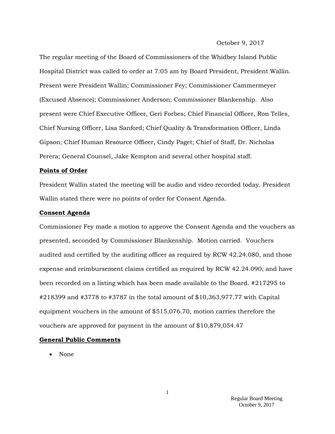#### October 9, 2017

The regular meeting of the Board of Commissioners of the Whidbey Island Public Hospital District was called to order at 7:05 am by Board President, President Wallin. Present were President Wallin; Commissioner Fey; Commissioner Cammermeyer (Excused Absence); Commissioner Anderson; Commissioner Blankenship. Also present were Chief Executive Officer, Geri Forbes; Chief Financial Officer, Ron Telles, Chief Nursing Officer, Lisa Sanford; Chief Quality & Transformation Officer, Linda Gipson; Chief Human Resource Officer, Cindy Paget; Chief of Staff, Dr. Nicholas Perera; General Counsel, Jake Kempton and several other hospital staff.

#### **Points of Order**

President Wallin stated the meeting will be audio and video recorded today. President Wallin stated there were no points of order for Consent Agenda.

#### **Consent Agenda**

Commissioner Fey made a motion to approve the Consent Agenda and the vouchers as presented, seconded by Commissioner Blankenship. Motion carried. Vouchers audited and certified by the auditing officer as required by RCW 42.24.080, and those expense and reimbursement claims certified as required by RCW 42.24.090, and have been recorded on a listing which has been made available to the Board. #217295 to #218399 and #3778 to #3787 in the total amount of \$10,363,977.77 with Capital equipment vouchers in the amount of \$515,076.70, motion carries therefore the vouchers are approved for payment in the amount of \$10,879,054.47

#### **General Public Comments**

• None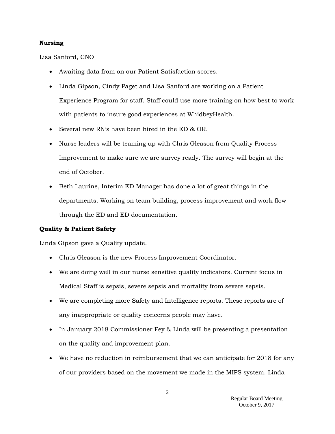#### **Nursing**

Lisa Sanford, CNO

- Awaiting data from on our Patient Satisfaction scores.
- Linda Gipson, Cindy Paget and Lisa Sanford are working on a Patient Experience Program for staff. Staff could use more training on how best to work with patients to insure good experiences at WhidbeyHealth.
- Several new RN's have been hired in the ED & OR.
- Nurse leaders will be teaming up with Chris Gleason from Quality Process Improvement to make sure we are survey ready. The survey will begin at the end of October.
- Beth Laurine, Interim ED Manager has done a lot of great things in the departments. Working on team building, process improvement and work flow through the ED and ED documentation.

### **Quality & Patient Safety**

Linda Gipson gave a Quality update.

- Chris Gleason is the new Process Improvement Coordinator.
- We are doing well in our nurse sensitive quality indicators. Current focus in Medical Staff is sepsis, severe sepsis and mortality from severe sepsis.
- We are completing more Safety and Intelligence reports. These reports are of any inappropriate or quality concerns people may have.
- In January 2018 Commissioner Fey & Linda will be presenting a presentation on the quality and improvement plan.
- We have no reduction in reimbursement that we can anticipate for 2018 for any of our providers based on the movement we made in the MIPS system. Linda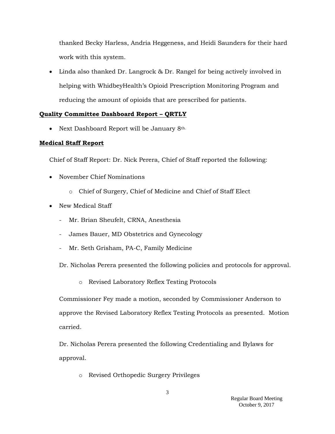thanked Becky Harless, Andria Heggeness, and Heidi Saunders for their hard work with this system.

 Linda also thanked Dr. Langrock & Dr. Rangel for being actively involved in helping with WhidbeyHealth's Opioid Prescription Monitoring Program and reducing the amount of opioids that are prescribed for patients.

## **Quality Committee Dashboard Report – QRTLY**

• Next Dashboard Report will be January 8<sup>th.</sup>

## **Medical Staff Report**

Chief of Staff Report: Dr. Nick Perera, Chief of Staff reported the following:

- November Chief Nominations
	- o Chief of Surgery, Chief of Medicine and Chief of Staff Elect
- New Medical Staff
	- Mr. Brian Sheufelt, CRNA, Anesthesia
	- James Bauer, MD Obstetrics and Gynecology
	- Mr. Seth Grisham, PA-C, Family Medicine

Dr. Nicholas Perera presented the following policies and protocols for approval.

o Revised Laboratory Reflex Testing Protocols

Commissioner Fey made a motion, seconded by Commissioner Anderson to approve the Revised Laboratory Reflex Testing Protocols as presented. Motion carried.

Dr. Nicholas Perera presented the following Credentialing and Bylaws for approval.

o Revised Orthopedic Surgery Privileges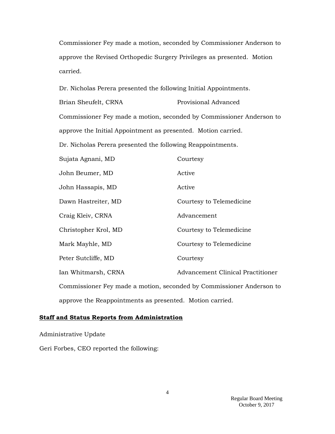Commissioner Fey made a motion, seconded by Commissioner Anderson to approve the Revised Orthopedic Surgery Privileges as presented. Motion carried.

Dr. Nicholas Perera presented the following Initial Appointments.

Brian Sheufelt, CRNA Provisional Advanced Commissioner Fey made a motion, seconded by Commissioner Anderson to approve the Initial Appointment as presented. Motion carried.

Dr. Nicholas Perera presented the following Reappointments.

| Sujata Agnani, MD                                                    | Courtesy                                 |
|----------------------------------------------------------------------|------------------------------------------|
| John Beumer, MD                                                      | Active                                   |
| John Hassapis, MD                                                    | Active                                   |
| Dawn Hastreiter, MD                                                  | Courtesy to Telemedicine                 |
| Craig Kleiv, CRNA                                                    | Advancement                              |
| Christopher Krol, MD                                                 | Courtesy to Telemedicine                 |
| Mark Mayhle, MD                                                      | Courtesy to Telemedicine                 |
| Peter Sutcliffe, MD                                                  | Courtesy                                 |
| Ian Whitmarsh, CRNA                                                  | <b>Advancement Clinical Practitioner</b> |
| Commissioner Fey made a motion, seconded by Commissioner Anderson to |                                          |
| approve the Reappointments as presented. Motion carried.             |                                          |

#### **Staff and Status Reports from Administration**

Administrative Update

Geri Forbes, CEO reported the following: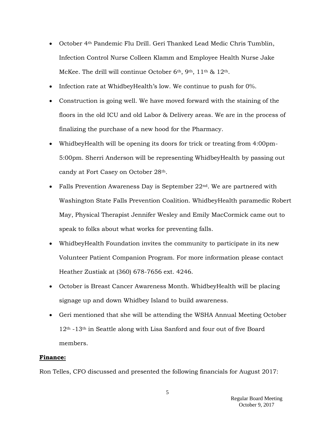- October 4th Pandemic Flu Drill. Geri Thanked Lead Medic Chris Tumblin, Infection Control Nurse Colleen Klamm and Employee Health Nurse Jake McKee. The drill will continue October 6<sup>th</sup>, 9<sup>th</sup>, 11<sup>th</sup> & 12<sup>th</sup>.
- Infection rate at WhidbeyHealth's low. We continue to push for 0%.
- Construction is going well. We have moved forward with the staining of the floors in the old ICU and old Labor & Delivery areas. We are in the process of finalizing the purchase of a new hood for the Pharmacy.
- WhidbeyHealth will be opening its doors for trick or treating from 4:00pm-5:00pm. Sherri Anderson will be representing WhidbeyHealth by passing out candy at Fort Casey on October 28th.
- Falls Prevention Awareness Day is September 22nd. We are partnered with Washington State Falls Prevention Coalition. WhidbeyHealth paramedic Robert May, Physical Therapist Jennifer Wesley and Emily MacCormick came out to speak to folks about what works for preventing falls.
- WhidbeyHealth Foundation invites the community to participate in its new Volunteer Patient Companion Program. For more information please contact Heather Zustiak at (360) 678-7656 ext. 4246.
- October is Breast Cancer Awareness Month. WhidbeyHealth will be placing signage up and down Whidbey Island to build awareness.
- Geri mentioned that she will be attending the WSHA Annual Meeting October 12th -13th in Seattle along with Lisa Sanford and four out of five Board members.

### **Finance:**

Ron Telles, CFO discussed and presented the following financials for August 2017: